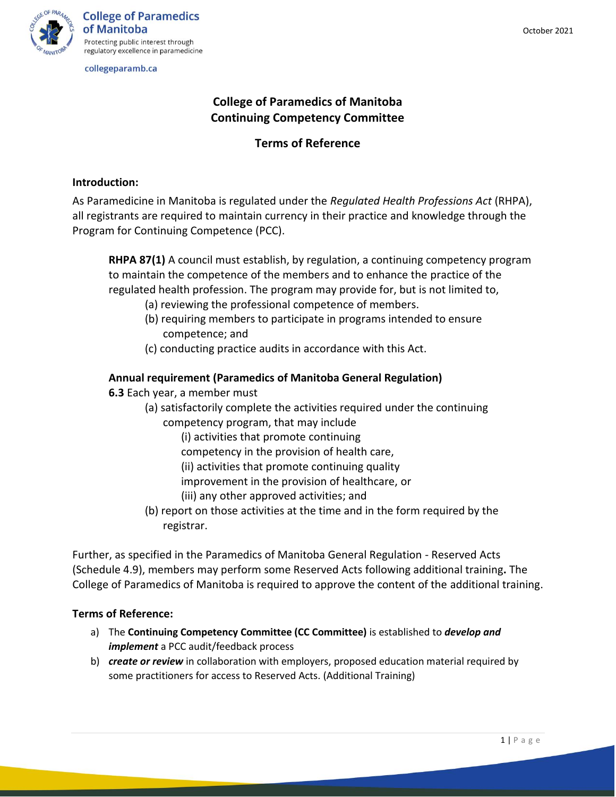

collegeparamb.ca

# **College of Paramedics of Manitoba Continuing Competency Committee**

# **Terms of Reference**

## **Introduction:**

As Paramedicine in Manitoba is regulated under the *Regulated Health Professions Act* (RHPA), all registrants are required to maintain currency in their practice and knowledge through the Program for Continuing Competence (PCC).

**RHPA 87(1)** A council must establish, by regulation, a continuing competency program to maintain the competence of the members and to enhance the practice of the regulated health profession. The program may provide for, but is not limited to,

- (a) reviewing the professional competence of members.
- (b) requiring members to participate in programs intended to ensure competence; and
- (c) conducting practice audits in accordance with this Act.

# **Annual requirement (Paramedics of Manitoba General Regulation)**

**6.3** Each year, a member must

- (a) satisfactorily complete the activities required under the continuing
	- competency program, that may include
		- (i) activities that promote continuing
		- competency in the provision of health care,
		- (ii) activities that promote continuing quality
		- improvement in the provision of healthcare, or
		- (iii) any other approved activities; and
- (b) report on those activities at the time and in the form required by the registrar.

Further, as specified in the Paramedics of Manitoba General Regulation - Reserved Acts (Schedule 4.9), members may perform some Reserved Acts following additional training**.** The College of Paramedics of Manitoba is required to approve the content of the additional training.

## **Terms of Reference:**

- a) The **Continuing Competency Committee (CC Committee)** is established to *develop and implement* a PCC audit/feedback process
- b) *create or review* in collaboration with employers, proposed education material required by some practitioners for access to Reserved Acts. (Additional Training)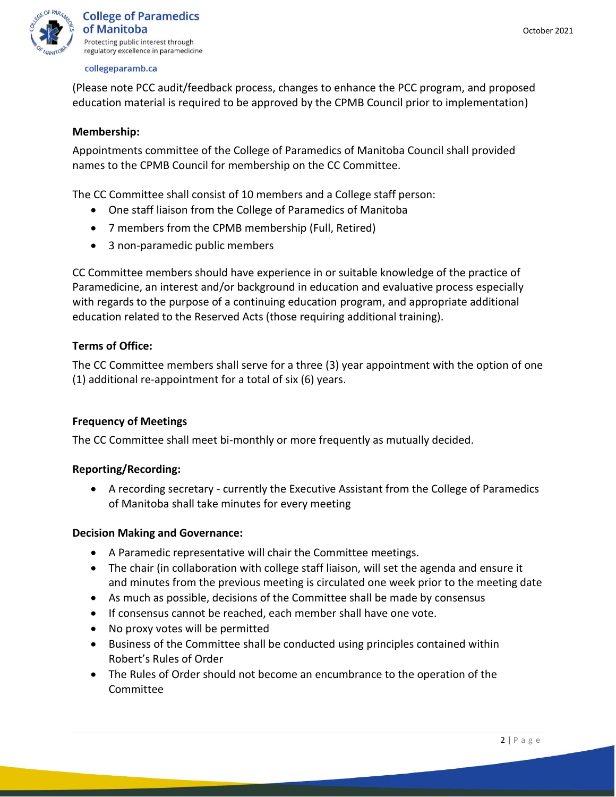

#### collegeparamb.ca

(Please note PCC audit/feedback process, changes to enhance the PCC program, and proposed education material is required to be approved by the CPMB Council prior to implementation)

### **Membership:**

Appointments committee of the College of Paramedics of Manitoba Council shall provided names to the CPMB Council for membership on the CC Committee.

The CC Committee shall consist of 10 members and a College staff person:

- One staff liaison from the College of Paramedics of Manitoba
- 7 members from the CPMB membership (Full, Retired)
- 3 non-paramedic public members

CC Committee members should have experience in or suitable knowledge of the practice of Paramedicine, an interest and/or background in education and evaluative process especially with regards to the purpose of a continuing education program, and appropriate additional education related to the Reserved Acts (those requiring additional training).

## **Terms of Office:**

The CC Committee members shall serve for a three (3) year appointment with the option of one (1) additional re-appointment for a total of six (6) years.

## **Frequency of Meetings**

The CC Committee shall meet bi-monthly or more frequently as mutually decided.

### **Reporting/Recording:**

• A recording secretary - currently the Executive Assistant from the College of Paramedics of Manitoba shall take minutes for every meeting

### **Decision Making and Governance:**

- A Paramedic representative will chair the Committee meetings.
- The chair (in collaboration with college staff liaison, will set the agenda and ensure it and minutes from the previous meeting is circulated one week prior to the meeting date
- As much as possible, decisions of the Committee shall be made by consensus
- If consensus cannot be reached, each member shall have one vote.
- No proxy votes will be permitted
- Business of the Committee shall be conducted using principles contained within Robert's Rules of Order
- The Rules of Order should not become an encumbrance to the operation of the Committee